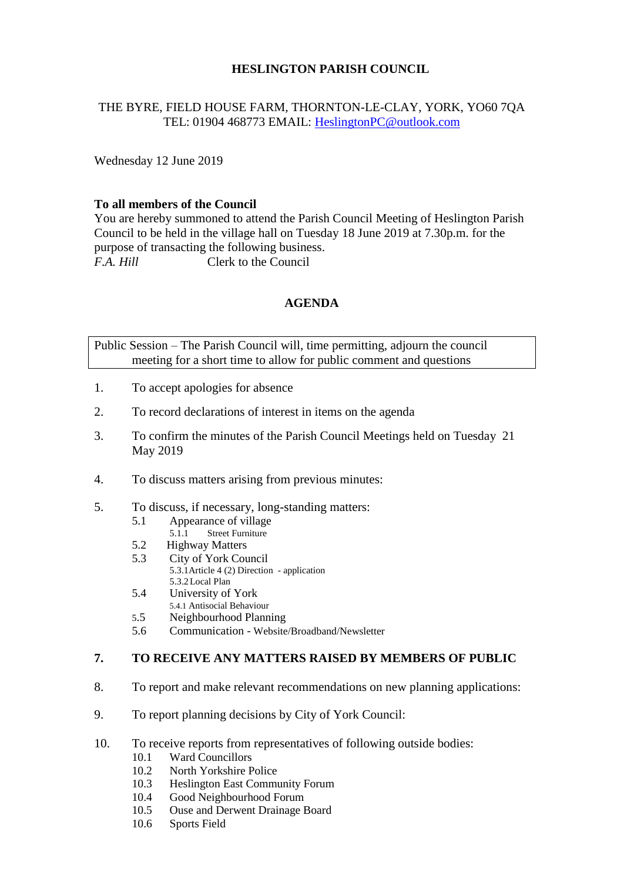## **HESLINGTON PARISH COUNCIL**

# THE BYRE, FIELD HOUSE FARM, THORNTON-LE-CLAY, YORK, YO60 7QA TEL: 01904 468773 EMAIL: [HeslingtonPC@outlook.com](mailto:HeslingtonPC@outlook.com)

Wednesday 12 June 2019

### **To all members of the Council**

You are hereby summoned to attend the Parish Council Meeting of Heslington Parish Council to be held in the village hall on Tuesday 18 June 2019 at 7.30p.m. for the purpose of transacting the following business. *F.A. Hill* Clerk to the Council

# **AGENDA**

Public Session – The Parish Council will, time permitting, adjourn the council meeting for a short time to allow for public comment and questions

- 1. To accept apologies for absence
- 2. To record declarations of interest in items on the agenda
- 3. To confirm the minutes of the Parish Council Meetings held on Tuesday 21 May 2019
- 4. To discuss matters arising from previous minutes:
- 5. To discuss, if necessary, long-standing matters:
	- 5.1 Appearance of village<br>5.1.1 Street Furniture
		- Street Furniture
	- 5.2 Highway Matters
	- 5.3 City of York Council
		- 5.3.1Article 4 (2) Direction application 5.3.2Local Plan
	- 5.4 University of York
	- 5.4.1 Antisocial Behaviour
	- 5.5 Neighbourhood Planning
	- 5.6 Communication Website/Broadband/Newsletter

#### **7. TO RECEIVE ANY MATTERS RAISED BY MEMBERS OF PUBLIC**

- 8. To report and make relevant recommendations on new planning applications:
- 9. To report planning decisions by City of York Council:
- 10. To receive reports from representatives of following outside bodies:
	- 10.1 Ward Councillors
	- 10.2 North Yorkshire Police
	- 10.3 Heslington East Community Forum
	- 10.4 Good Neighbourhood Forum
	- 10.5 Ouse and Derwent Drainage Board
	- 10.6 Sports Field